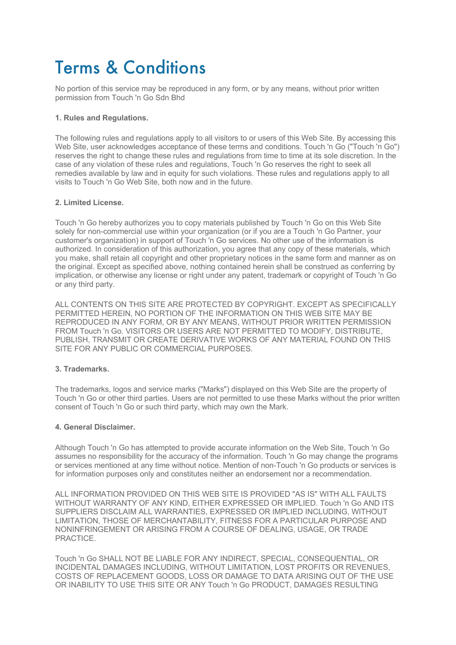# Terms & Conditions

No portion of this service may be reproduced in any form, or by any means, without prior written permission from Touch 'n Go Sdn Bhd

# **1. Rules and Regulations.**

The following rules and regulations apply to all visitors to or users of this Web Site. By accessing this Web Site, user acknowledges acceptance of these terms and conditions. Touch 'n Go ("Touch 'n Go") reserves the right to change these rules and regulations from time to time at its sole discretion. In the case of any violation of these rules and regulations, Touch 'n Go reserves the right to seek all remedies available by law and in equity for such violations. These rules and regulations apply to all visits to Touch 'n Go Web Site, both now and in the future.

## **2. Limited License.**

Touch 'n Go hereby authorizes you to copy materials published by Touch 'n Go on this Web Site solely for non-commercial use within your organization (or if you are a Touch 'n Go Partner, your customer's organization) in support of Touch 'n Go services. No other use of the information is authorized. In consideration of this authorization, you agree that any copy of these materials, which you make, shall retain all copyright and other proprietary notices in the same form and manner as on the original. Except as specified above, nothing contained herein shall be construed as conferring by implication, or otherwise any license or right under any patent, trademark or copyright of Touch 'n Go or any third party.

ALL CONTENTS ON THIS SITE ARE PROTECTED BY COPYRIGHT. EXCEPT AS SPECIFICALLY PERMITTED HEREIN, NO PORTION OF THE INFORMATION ON THIS WEB SITE MAY BE REPRODUCED IN ANY FORM, OR BY ANY MEANS, WITHOUT PRIOR WRITTEN PERMISSION FROM Touch 'n Go. VISITORS OR USERS ARE NOT PERMITTED TO MODIFY, DISTRIBUTE, PUBLISH, TRANSMIT OR CREATE DERIVATIVE WORKS OF ANY MATERIAL FOUND ON THIS SITE FOR ANY PUBLIC OR COMMERCIAL PURPOSES.

## **3. Trademarks.**

The trademarks, logos and service marks ("Marks") displayed on this Web Site are the property of Touch 'n Go or other third parties. Users are not permitted to use these Marks without the prior written consent of Touch 'n Go or such third party, which may own the Mark.

#### **4. General Disclaimer.**

Although Touch 'n Go has attempted to provide accurate information on the Web Site, Touch 'n Go assumes no responsibility for the accuracy of the information. Touch 'n Go may change the programs or services mentioned at any time without notice. Mention of non-Touch 'n Go products or services is for information purposes only and constitutes neither an endorsement nor a recommendation.

ALL INFORMATION PROVIDED ON THIS WEB SITE IS PROVIDED "AS IS" WITH ALL FAULTS WITHOUT WARRANTY OF ANY KIND, EITHER EXPRESSED OR IMPLIED. Touch 'n Go AND ITS SUPPLIERS DISCLAIM ALL WARRANTIES, EXPRESSED OR IMPLIED INCLUDING, WITHOUT LIMITATION, THOSE OF MERCHANTABILITY, FITNESS FOR A PARTICULAR PURPOSE AND NONINFRINGEMENT OR ARISING FROM A COURSE OF DEALING, USAGE, OR TRADE **PRACTICE** 

Touch 'n Go SHALL NOT BE LIABLE FOR ANY INDIRECT, SPECIAL, CONSEQUENTIAL, OR INCIDENTAL DAMAGES INCLUDING, WITHOUT LIMITATION, LOST PROFITS OR REVENUES, COSTS OF REPLACEMENT GOODS, LOSS OR DAMAGE TO DATA ARISING OUT OF THE USE OR INABILITY TO USE THIS SITE OR ANY Touch 'n Go PRODUCT, DAMAGES RESULTING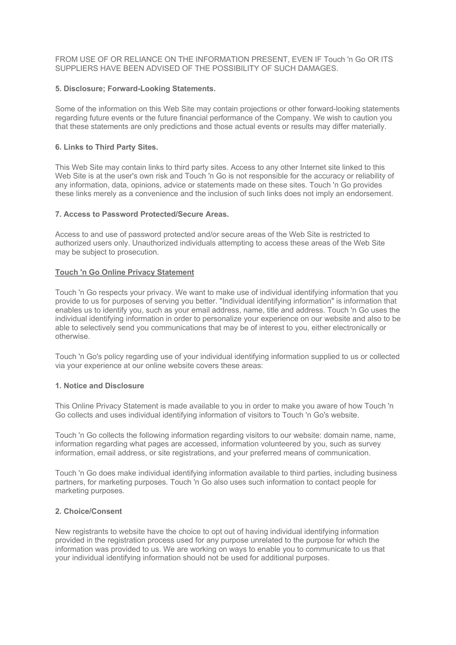FROM USE OF OR RELIANCE ON THE INFORMATION PRESENT, EVEN IF Touch 'n Go OR ITS SUPPLIERS HAVE BEEN ADVISED OF THE POSSIBILITY OF SUCH DAMAGES.

## **5. Disclosure; Forward-Looking Statements.**

Some of the information on this Web Site may contain projections or other forward-looking statements regarding future events or the future financial performance of the Company. We wish to caution you that these statements are only predictions and those actual events or results may differ materially.

## **6. Links to Third Party Sites.**

This Web Site may contain links to third party sites. Access to any other Internet site linked to this Web Site is at the user's own risk and Touch 'n Go is not responsible for the accuracy or reliability of any information, data, opinions, advice or statements made on these sites. Touch 'n Go provides these links merely as a convenience and the inclusion of such links does not imply an endorsement.

## **7. Access to Password Protected/Secure Areas.**

Access to and use of password protected and/or secure areas of the Web Site is restricted to authorized users only. Unauthorized individuals attempting to access these areas of the Web Site may be subject to prosecution.

### **Touch 'n Go Online Privacy Statement**

Touch 'n Go respects your privacy. We want to make use of individual identifying information that you provide to us for purposes of serving you better. "Individual identifying information" is information that enables us to identify you, such as your email address, name, title and address. Touch 'n Go uses the individual identifying information in order to personalize your experience on our website and also to be able to selectively send you communications that may be of interest to you, either electronically or otherwise.

Touch 'n Go's policy regarding use of your individual identifying information supplied to us or collected via your experience at our online website covers these areas:

### **1. Notice and Disclosure**

This Online Privacy Statement is made available to you in order to make you aware of how Touch 'n Go collects and uses individual identifying information of visitors to Touch 'n Go's website.

Touch 'n Go collects the following information regarding visitors to our website: domain name, name, information regarding what pages are accessed, information volunteered by you, such as survey information, email address, or site registrations, and your preferred means of communication.

Touch 'n Go does make individual identifying information available to third parties, including business partners, for marketing purposes. Touch 'n Go also uses such information to contact people for marketing purposes.

#### **2. Choice/Consent**

New registrants to website have the choice to opt out of having individual identifying information provided in the registration process used for any purpose unrelated to the purpose for which the information was provided to us. We are working on ways to enable you to communicate to us that your individual identifying information should not be used for additional purposes.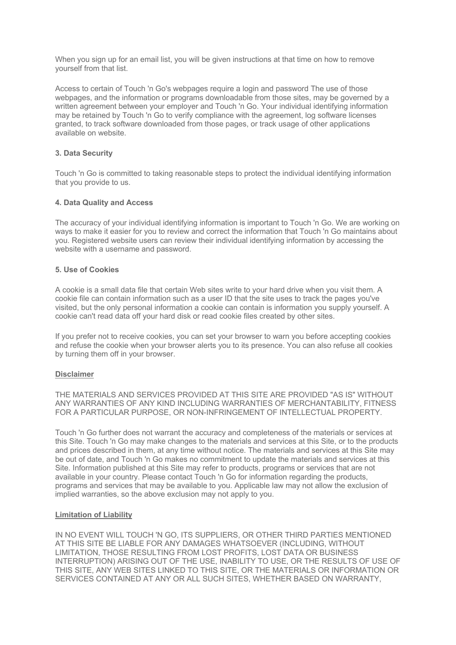When you sign up for an email list, you will be given instructions at that time on how to remove yourself from that list.

Access to certain of Touch 'n Go's webpages require a login and password The use of those webpages, and the information or programs downloadable from those sites, may be governed by a written agreement between your employer and Touch 'n Go. Your individual identifying information may be retained by Touch 'n Go to verify compliance with the agreement, log software licenses granted, to track software downloaded from those pages, or track usage of other applications available on website.

## **3. Data Security**

Touch 'n Go is committed to taking reasonable steps to protect the individual identifying information that you provide to us.

## **4. Data Quality and Access**

The accuracy of your individual identifying information is important to Touch 'n Go. We are working on ways to make it easier for you to review and correct the information that Touch 'n Go maintains about you. Registered website users can review their individual identifying information by accessing the website with a username and password.

## **5. Use of Cookies**

A cookie is a small data file that certain Web sites write to your hard drive when you visit them. A cookie file can contain information such as a user ID that the site uses to track the pages you've visited, but the only personal information a cookie can contain is information you supply yourself. A cookie can't read data off your hard disk or read cookie files created by other sites.

If you prefer not to receive cookies, you can set your browser to warn you before accepting cookies and refuse the cookie when your browser alerts you to its presence. You can also refuse all cookies by turning them off in your browser.

## **Disclaimer**

THE MATERIALS AND SERVICES PROVIDED AT THIS SITE ARE PROVIDED "AS IS" WITHOUT ANY WARRANTIES OF ANY KIND INCLUDING WARRANTIES OF MERCHANTABILITY, FITNESS FOR A PARTICULAR PURPOSE, OR NON-INFRINGEMENT OF INTELLECTUAL PROPERTY.

Touch 'n Go further does not warrant the accuracy and completeness of the materials or services at this Site. Touch 'n Go may make changes to the materials and services at this Site, or to the products and prices described in them, at any time without notice. The materials and services at this Site may be out of date, and Touch 'n Go makes no commitment to update the materials and services at this Site. Information published at this Site may refer to products, programs or services that are not available in your country. Please contact Touch 'n Go for information regarding the products, programs and services that may be available to you. Applicable law may not allow the exclusion of implied warranties, so the above exclusion may not apply to you.

## **Limitation of Liability**

IN NO EVENT WILL TOUCH 'N GO, ITS SUPPLIERS, OR OTHER THIRD PARTIES MENTIONED AT THIS SITE BE LIABLE FOR ANY DAMAGES WHATSOEVER (INCLUDING, WITHOUT LIMITATION, THOSE RESULTING FROM LOST PROFITS, LOST DATA OR BUSINESS INTERRUPTION) ARISING OUT OF THE USE, INABILITY TO USE, OR THE RESULTS OF USE OF THIS SITE, ANY WEB SITES LINKED TO THIS SITE, OR THE MATERIALS OR INFORMATION OR SERVICES CONTAINED AT ANY OR ALL SUCH SITES, WHETHER BASED ON WARRANTY,